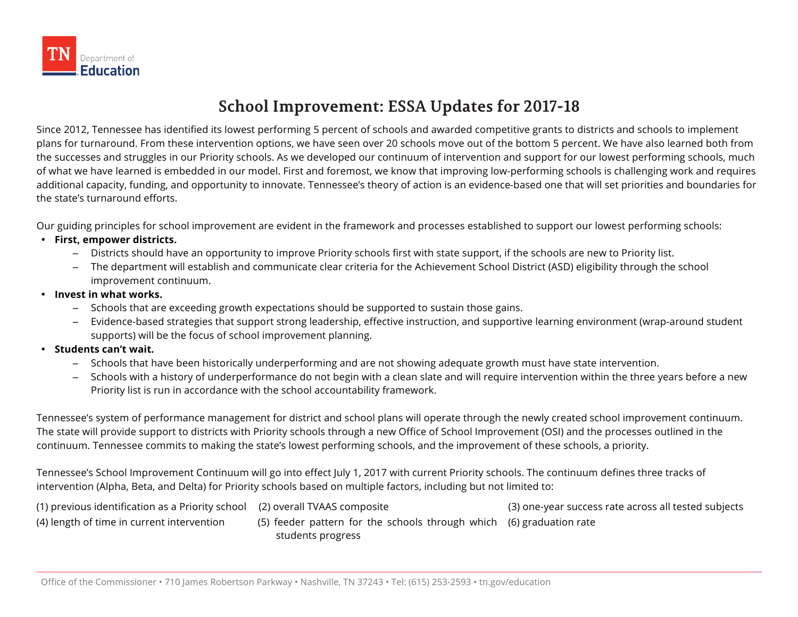

## **School Improvement: ESSA Updates for 2017-18**

Since 2012, Tennessee has identified its lowest performing 5 percent of schools and awarded competitive grants to districts and schools to implement plans for turnaround. From these intervention options, we have seen over 20 schools move out of the bottom 5 percent. We have also learned both from the successes and struggles in our Priority schools. As we developed our continuum of intervention and support for our lowest performing schools, much of what we have learned is embedded in our model. First and foremost, we know that improving low-performing schools is challenging work and requires additional capacity, funding, and opportunity to innovate. Tennessee's theory of action is an evidence-based one that will set priorities and boundaries for the state's turnaround efforts.

Our guiding principles for school improvement are evident in the framework and processes established to support our lowest performing schools:

- **First, empower districts.** 
	- Districts should have an opportunity to improve Priority schools first with state support, if the schools are new to Priority list.
	- The department will establish and communicate clear criteria for the Achievement School District (ASD) eligibility through the school improvement continuum.
- **Invest in what works.**
	- Schools that are exceeding growth expectations should be supported to sustain those gains.
	- Evidence-based strategies that support strong leadership, effective instruction, and supportive learning environment (wrap-around student supports) will be the focus of school improvement planning.
- **Students can't wait.** 
	- Schools that have been historically underperforming and are not showing adequate growth must have state intervention.
	- Schools with a history of underperformance do not begin with a clean slate and will require intervention within the three years before a new Priority list is run in accordance with the school accountability framework.

Tennessee's system of performance management for district and school plans will operate through the newly created school improvement continuum. The state will provide support to districts with Priority schools through a new Office of School Improvement (OSI) and the processes outlined in the continuum. Tennessee commits to making the state's lowest performing schools, and the improvement of these schools, a priority.

Tennessee's School Improvement Continuum will go into effect July 1, 2017 with current Priority schools. The continuum defines three tracks of intervention (Alpha, Beta, and Delta) for Priority schools based on multiple factors, including but not limited to:

| (1) previous identification as a Priority school (2) overall TVAAS composite |                                                                      | (3) one-year success rate across all tested subjects |
|------------------------------------------------------------------------------|----------------------------------------------------------------------|------------------------------------------------------|
| (4) length of time in current intervention                                   | (5) feeder pattern for the schools through which (6) graduation rate |                                                      |
|                                                                              | students progress                                                    |                                                      |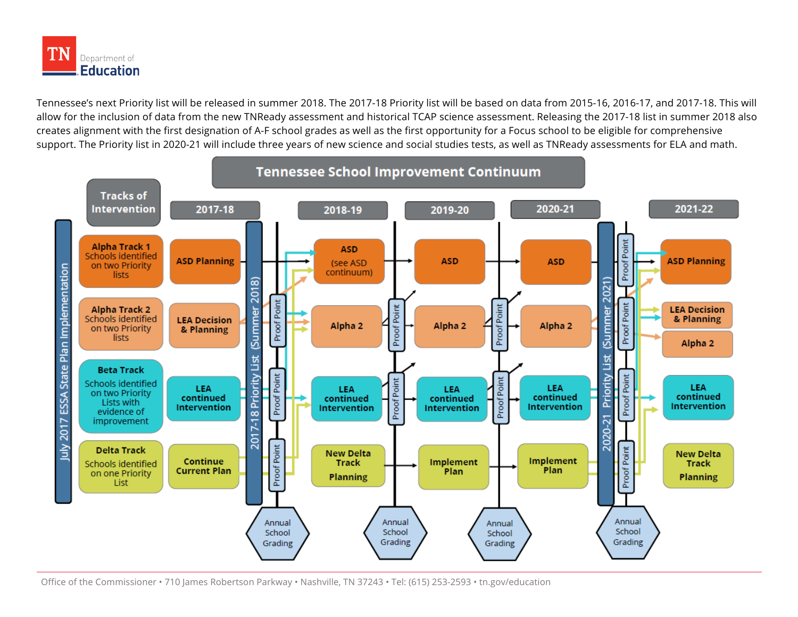

Tennessee's next Priority list will be released in summer 2018. The 2017-18 Priority list will be based on data from 2015-16, 2016-17, and 2017-18. This will allow for the inclusion of data from the new TNReady assessment and historical TCAP science assessment. Releasing the 2017-18 list in summer 2018 also creates alignment with the first designation of A-F school grades as well as the first opportunity for a Focus school to be eligible for comprehensive support. The Priority list in 2020-21 will include three years of new science and social studies tests, as well as TNReady assessments for ELA and math.

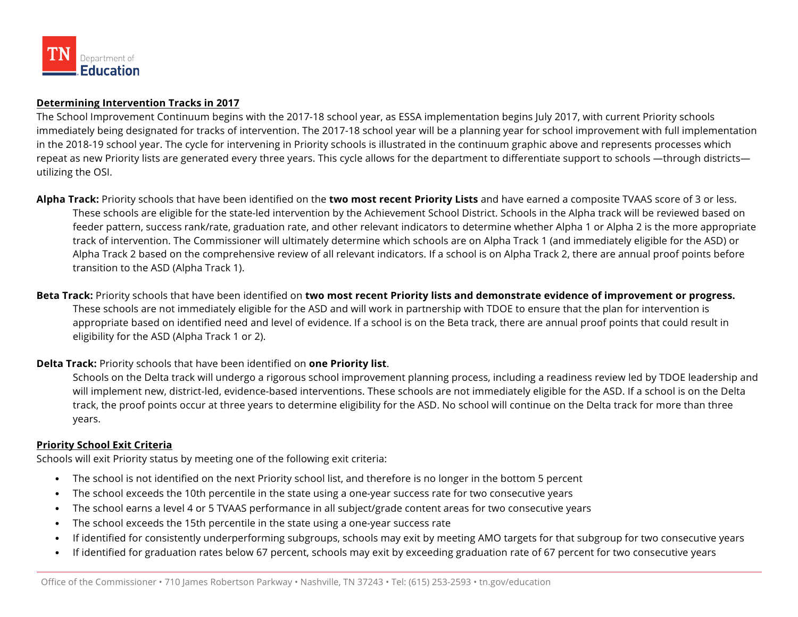

## **Determining Intervention Tracks in 2017**

The School Improvement Continuum begins with the 2017-18 school year, as ESSA implementation begins July 2017, with current Priority schools immediately being designated for tracks of intervention. The 2017-18 school year will be a planning year for school improvement with full implementation in the 2018-19 school year. The cycle for intervening in Priority schools is illustrated in the continuum graphic above and represents processes which repeat as new Priority lists are generated every three years. This cycle allows for the department to differentiate support to schools —through districts utilizing the OSI.

**Alpha Track:** Priority schools that have been identified on the **two most recent Priority Lists** and have earned a composite TVAAS score of 3 or less. These schools are eligible for the state-led intervention by the Achievement School District. Schools in the Alpha track will be reviewed based on feeder pattern, success rank/rate, graduation rate, and other relevant indicators to determine whether Alpha 1 or Alpha 2 is the more appropriate track of intervention. The Commissioner will ultimately determine which schools are on Alpha Track 1 (and immediately eligible for the ASD) or Alpha Track 2 based on the comprehensive review of all relevant indicators. If a school is on Alpha Track 2, there are annual proof points before transition to the ASD (Alpha Track 1).

**Beta Track:** Priority schools that have been identified on **two most recent Priority lists and demonstrate evidence of improvement or progress.** These schools are not immediately eligible for the ASD and will work in partnership with TDOE to ensure that the plan for intervention is appropriate based on identified need and level of evidence. If a school is on the Beta track, there are annual proof points that could result in eligibility for the ASD (Alpha Track 1 or 2).

## **Delta Track:** Priority schools that have been identified on **one Priority list**.

Schools on the Delta track will undergo a rigorous school improvement planning process, including a readiness review led by TDOE leadership and will implement new, district-led, evidence-based interventions. These schools are not immediately eligible for the ASD. If a school is on the Delta track, the proof points occur at three years to determine eligibility for the ASD. No school will continue on the Delta track for more than three years.

## **Priority School Exit Criteria**

Schools will exit Priority status by meeting one of the following exit criteria:

- The school is not identified on the next Priority school list, and therefore is no longer in the bottom 5 percent
- The school exceeds the 10th percentile in the state using a one-year success rate for two consecutive years
- The school earns a level 4 or 5 TVAAS performance in all subject/grade content areas for two consecutive years
- The school exceeds the 15th percentile in the state using a one-year success rate
- If identified for consistently underperforming subgroups, schools may exit by meeting AMO targets for that subgroup for two consecutive years
- If identified for graduation rates below 67 percent, schools may exit by exceeding graduation rate of 67 percent for two consecutive years